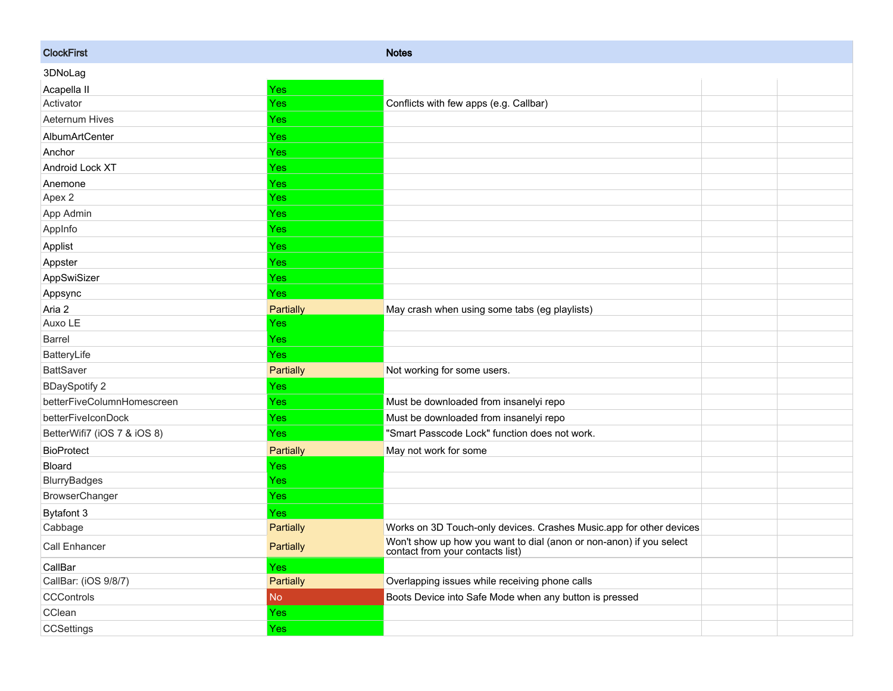| <b>ClockFirst</b>           |                  | <b>Notes</b>                                                                                            |  |
|-----------------------------|------------------|---------------------------------------------------------------------------------------------------------|--|
| 3DNoLag                     |                  |                                                                                                         |  |
| Acapella II                 | Yes              |                                                                                                         |  |
| Activator                   | Yes              | Conflicts with few apps (e.g. Callbar)                                                                  |  |
| Aeternum Hives              | Yes              |                                                                                                         |  |
| AlbumArtCenter              | Yes              |                                                                                                         |  |
| Anchor                      | <b>Yes</b>       |                                                                                                         |  |
| Android Lock XT             | Yes              |                                                                                                         |  |
| Anemone                     | Yes              |                                                                                                         |  |
| Apex 2                      | Yes              |                                                                                                         |  |
| App Admin                   | Yes              |                                                                                                         |  |
| AppInfo                     | Yes              |                                                                                                         |  |
| Applist                     | <b>Yes</b>       |                                                                                                         |  |
| Appster                     | Yes              |                                                                                                         |  |
| AppSwiSizer                 | Yes              |                                                                                                         |  |
| Appsync                     | <b>Yes</b>       |                                                                                                         |  |
| Aria 2                      | <b>Partially</b> | May crash when using some tabs (eg playlists)                                                           |  |
| Auxo LE                     | Yes              |                                                                                                         |  |
| <b>Barrel</b>               | <b>Yes</b>       |                                                                                                         |  |
| BatteryLife                 | Yes              |                                                                                                         |  |
| <b>BattSaver</b>            | <b>Partially</b> | Not working for some users.                                                                             |  |
| <b>BDaySpotify 2</b>        | Yes              |                                                                                                         |  |
| betterFiveColumnHomescreen  | Yes              | Must be downloaded from insanelyi repo                                                                  |  |
| betterFiveIconDock          | <b>Yes</b>       | Must be downloaded from insanelyi repo                                                                  |  |
| BetterWifi7 (iOS 7 & iOS 8) | Yes              | "Smart Passcode Lock" function does not work.                                                           |  |
| <b>BioProtect</b>           | Partially        | May not work for some                                                                                   |  |
| Bloard                      | <b>Yes</b>       |                                                                                                         |  |
| BlurryBadges                | Yes              |                                                                                                         |  |
| BrowserChanger              | Yes              |                                                                                                         |  |
| Bytafont 3                  | Yes              |                                                                                                         |  |
| Cabbage                     | Partially        | Works on 3D Touch-only devices. Crashes Music.app for other devices                                     |  |
| Call Enhancer               | Partially        | Won't show up how you want to dial (anon or non-anon) if you select<br>contact from your contacts list) |  |
| CallBar                     | Yes              |                                                                                                         |  |
| CallBar: (iOS 9/8/7)        | Partially        | Overlapping issues while receiving phone calls                                                          |  |
| <b>CCControls</b>           | No.              | Boots Device into Safe Mode when any button is pressed                                                  |  |
| CClean                      | <b>Yes</b>       |                                                                                                         |  |
| <b>CCSettings</b>           | Yes              |                                                                                                         |  |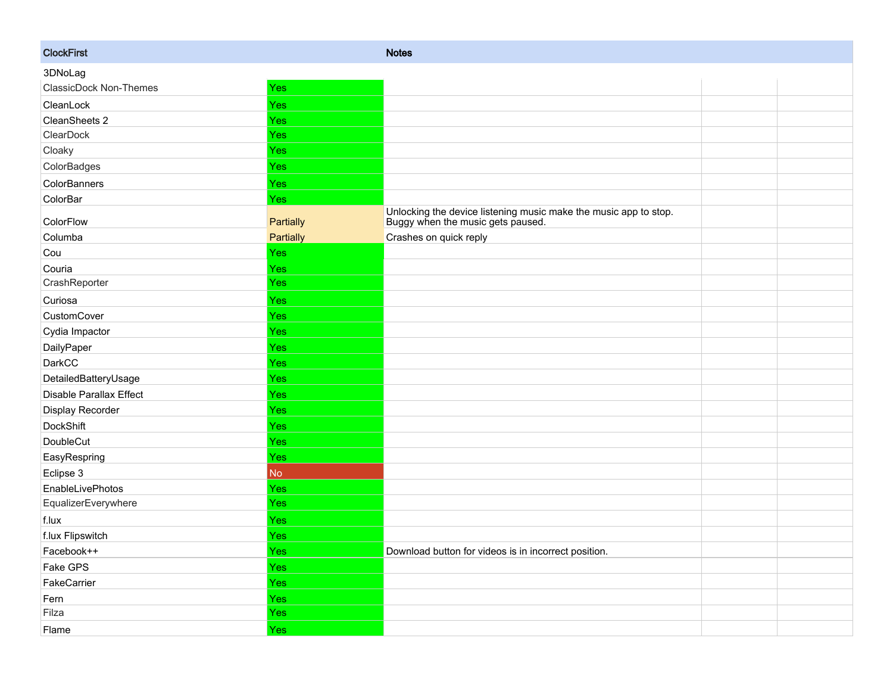| <b>ClockFirst</b>       |                | <b>Notes</b>                                                                                          |  |
|-------------------------|----------------|-------------------------------------------------------------------------------------------------------|--|
| 3DNoLag                 |                |                                                                                                       |  |
| ClassicDock Non-Themes  | Yes            |                                                                                                       |  |
| CleanLock               | <b>Yes</b>     |                                                                                                       |  |
| CleanSheets 2           | Yes            |                                                                                                       |  |
| ClearDock               | Yes            |                                                                                                       |  |
| Cloaky                  | <b>Yes</b>     |                                                                                                       |  |
| ColorBadges             | <b>Yes</b>     |                                                                                                       |  |
| ColorBanners            | Yes            |                                                                                                       |  |
| ColorBar                | <b>Yes</b>     |                                                                                                       |  |
| ColorFlow               | Partially      | Unlocking the device listening music make the music app to stop.<br>Buggy when the music gets paused. |  |
| Columba                 | Partially      | Crashes on quick reply                                                                                |  |
| Cou                     | Yes            |                                                                                                       |  |
| Couria                  | <b>Yes</b>     |                                                                                                       |  |
| CrashReporter           | <b>Yes</b>     |                                                                                                       |  |
| Curiosa                 | <b>Yes</b>     |                                                                                                       |  |
| CustomCover             | <b>Yes</b>     |                                                                                                       |  |
| Cydia Impactor          | <b>Yes</b>     |                                                                                                       |  |
| DailyPaper              | Yes            |                                                                                                       |  |
| DarkCC                  | <b>Yes</b>     |                                                                                                       |  |
| DetailedBatteryUsage    | <b>Yes</b>     |                                                                                                       |  |
| Disable Parallax Effect | <b>Yes</b>     |                                                                                                       |  |
| Display Recorder        | Yes            |                                                                                                       |  |
| <b>DockShift</b>        | <b>Yes</b>     |                                                                                                       |  |
| DoubleCut               | <b>Yes</b>     |                                                                                                       |  |
| EasyRespring            | <b>Yes</b>     |                                                                                                       |  |
| Eclipse 3               | N <sub>o</sub> |                                                                                                       |  |
| EnableLivePhotos        | Yes            |                                                                                                       |  |
| EqualizerEverywhere     | <b>Yes</b>     |                                                                                                       |  |
| f.lux                   | Yes            |                                                                                                       |  |
| f.lux Flipswitch        | <b>Yes</b>     |                                                                                                       |  |
| Facebook++              | <b>Yes</b>     | Download button for videos is in incorrect position.                                                  |  |
| Fake GPS                | <b>Yes</b>     |                                                                                                       |  |
| FakeCarrier             | <b>Yes</b>     |                                                                                                       |  |
| Fern                    | Yes            |                                                                                                       |  |
| Filza                   | Yes            |                                                                                                       |  |
| Flame                   | Yes            |                                                                                                       |  |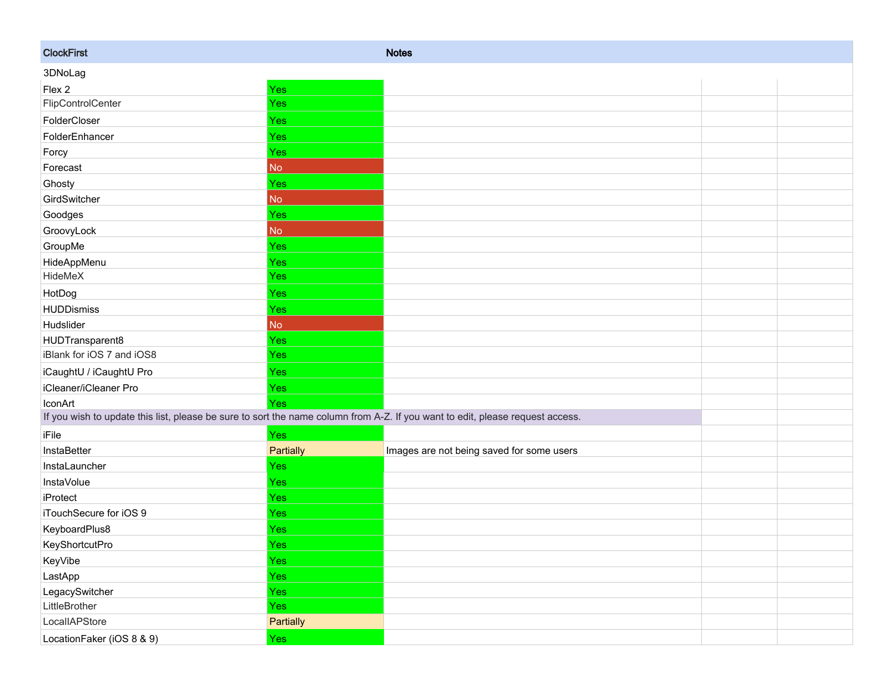| <b>ClockFirst</b>                                                                                                             |                | <b>Notes</b>                              |  |  |  |
|-------------------------------------------------------------------------------------------------------------------------------|----------------|-------------------------------------------|--|--|--|
| 3DNoLag                                                                                                                       |                |                                           |  |  |  |
| Flex 2                                                                                                                        | Yes            |                                           |  |  |  |
| FlipControlCenter                                                                                                             | Yes            |                                           |  |  |  |
| FolderCloser                                                                                                                  | Yes            |                                           |  |  |  |
| FolderEnhancer                                                                                                                | Yes            |                                           |  |  |  |
| Forcy                                                                                                                         | <b>Yes</b>     |                                           |  |  |  |
| Forecast                                                                                                                      | N <sub>o</sub> |                                           |  |  |  |
| Ghosty                                                                                                                        | Yes            |                                           |  |  |  |
| GirdSwitcher                                                                                                                  | N <sub>o</sub> |                                           |  |  |  |
| Goodges                                                                                                                       | Yes            |                                           |  |  |  |
| GroovyLock                                                                                                                    | No             |                                           |  |  |  |
| GroupMe                                                                                                                       | Yes            |                                           |  |  |  |
| HideAppMenu                                                                                                                   | <b>Yes</b>     |                                           |  |  |  |
| HideMeX                                                                                                                       | Yes            |                                           |  |  |  |
| HotDog                                                                                                                        | <b>Yes</b>     |                                           |  |  |  |
| <b>HUDDismiss</b>                                                                                                             | <b>Yes</b>     |                                           |  |  |  |
| Hudslider                                                                                                                     | No             |                                           |  |  |  |
| HUDTransparent8                                                                                                               | <b>Yes</b>     |                                           |  |  |  |
| iBlank for iOS 7 and iOS8                                                                                                     | <b>Yes</b>     |                                           |  |  |  |
| iCaughtU / iCaughtU Pro                                                                                                       | <b>Yes</b>     |                                           |  |  |  |
| iCleaner/iCleaner Pro                                                                                                         | <b>Yes</b>     |                                           |  |  |  |
| IconArt                                                                                                                       | Yes            |                                           |  |  |  |
| If you wish to update this list, please be sure to sort the name column from A-Z. If you want to edit, please request access. |                |                                           |  |  |  |
| iFile                                                                                                                         | Yes            |                                           |  |  |  |
| InstaBetter                                                                                                                   | Partially      | Images are not being saved for some users |  |  |  |
| InstaLauncher                                                                                                                 | Yes            |                                           |  |  |  |
| <b>InstaVolue</b>                                                                                                             | <b>Yes</b>     |                                           |  |  |  |
| iProtect                                                                                                                      | <b>Yes</b>     |                                           |  |  |  |
| iTouchSecure for iOS 9                                                                                                        | Yes            |                                           |  |  |  |
| KeyboardPlus8                                                                                                                 | Yes            |                                           |  |  |  |
| KeyShortcutPro                                                                                                                | <b>Yes</b>     |                                           |  |  |  |
| KeyVibe                                                                                                                       | Yes            |                                           |  |  |  |
| LastApp                                                                                                                       | Yes            |                                           |  |  |  |
| LegacySwitcher                                                                                                                | Yes            |                                           |  |  |  |
| LittleBrother                                                                                                                 | Yes            |                                           |  |  |  |
| LocalIAPStore                                                                                                                 | Partially      |                                           |  |  |  |
| LocationFaker (iOS 8 & 9)                                                                                                     | Yes            |                                           |  |  |  |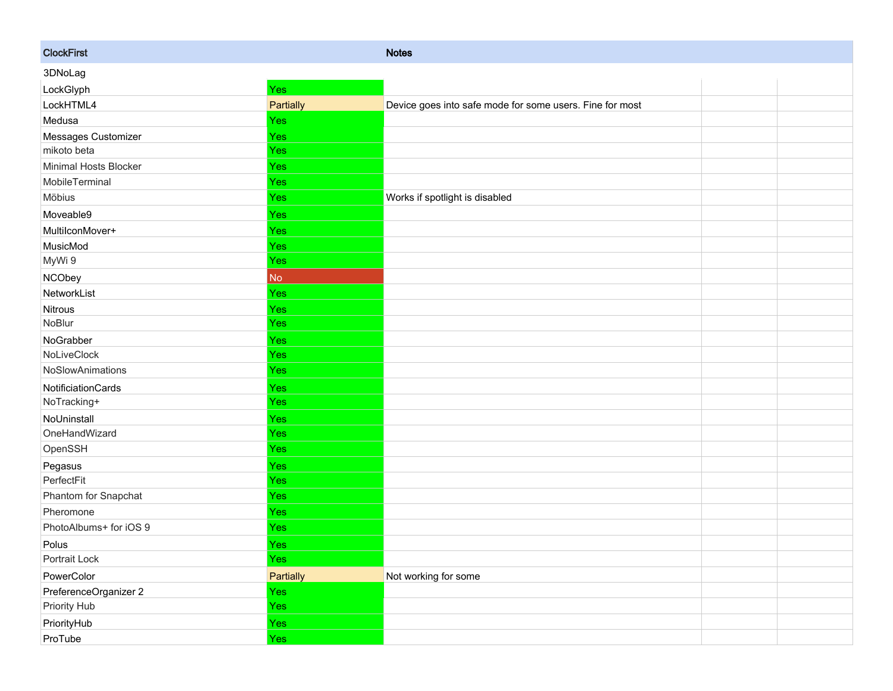| <b>ClockFirst</b>      |            | <b>Notes</b>                                             |  |
|------------------------|------------|----------------------------------------------------------|--|
| 3DNoLag                |            |                                                          |  |
| LockGlyph              | Yes        |                                                          |  |
| LockHTML4              | Partially  | Device goes into safe mode for some users. Fine for most |  |
| Medusa                 | Yes        |                                                          |  |
| Messages Customizer    | Yes        |                                                          |  |
| mikoto beta            | Yes        |                                                          |  |
| Minimal Hosts Blocker  | <b>Yes</b> |                                                          |  |
| MobileTerminal         | Yes        |                                                          |  |
| Möbius                 | Yes        | Works if spotlight is disabled                           |  |
| Moveable9              | Yes        |                                                          |  |
| MultilconMover+        | Yes        |                                                          |  |
| MusicMod               | Yes        |                                                          |  |
| MyWi 9                 | <b>Yes</b> |                                                          |  |
| <b>NCObey</b>          | No         |                                                          |  |
| NetworkList            | Yes        |                                                          |  |
| Nitrous                | <b>Yes</b> |                                                          |  |
| NoBlur                 | Yes        |                                                          |  |
| NoGrabber              | Yes        |                                                          |  |
| NoLiveClock            | Yes        |                                                          |  |
| NoSlowAnimations       | <b>Yes</b> |                                                          |  |
| NotificiationCards     | <b>Yes</b> |                                                          |  |
| NoTracking+            | <b>Yes</b> |                                                          |  |
| NoUninstall            | Yes        |                                                          |  |
| OneHandWizard          | Yes        |                                                          |  |
| OpenSSH                | Yes        |                                                          |  |
| Pegasus                | <b>Yes</b> |                                                          |  |
| PerfectFit             | Yes        |                                                          |  |
| Phantom for Snapchat   | <b>Yes</b> |                                                          |  |
| Pheromone              | Yes        |                                                          |  |
| PhotoAlbums+ for iOS 9 | Yes        |                                                          |  |
| Polus                  | <b>Yes</b> |                                                          |  |
| Portrait Lock          | Yes        |                                                          |  |
| PowerColor             | Partially  | Not working for some                                     |  |
| PreferenceOrganizer 2  | Yes        |                                                          |  |
| Priority Hub           | Yes        |                                                          |  |
| PriorityHub            | Yes        |                                                          |  |
| ProTube                | Yes        |                                                          |  |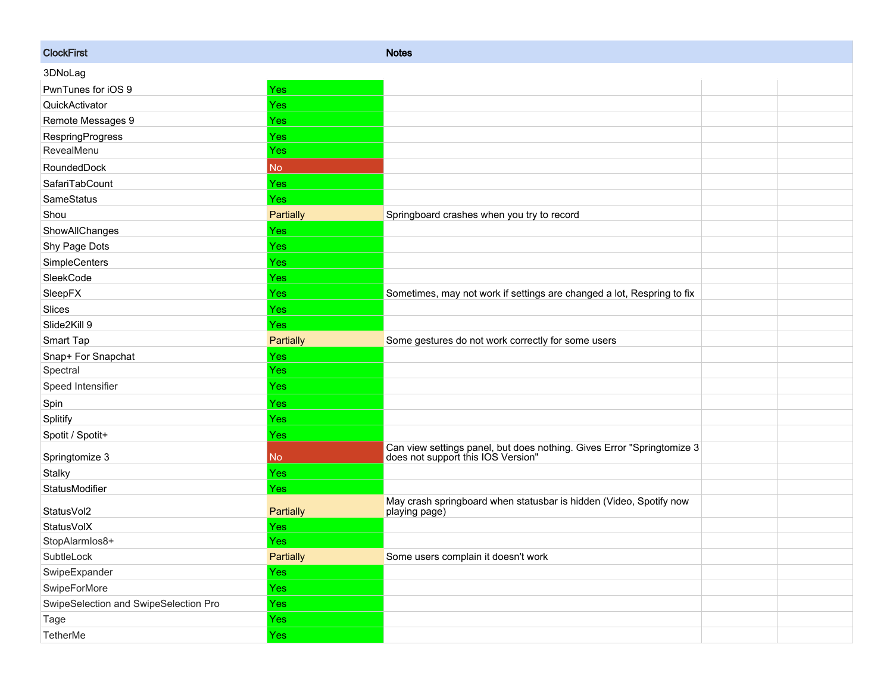| <b>ClockFirst</b>                     |            | <b>Notes</b>                                                                                              |  |
|---------------------------------------|------------|-----------------------------------------------------------------------------------------------------------|--|
| 3DNoLag                               |            |                                                                                                           |  |
| PwnTunes for iOS 9                    | <b>Yes</b> |                                                                                                           |  |
| QuickActivator                        | <b>Yes</b> |                                                                                                           |  |
| Remote Messages 9                     | Yes        |                                                                                                           |  |
| <b>RespringProgress</b>               | Yes        |                                                                                                           |  |
| RevealMenu                            | <b>Yes</b> |                                                                                                           |  |
| RoundedDock                           | <b>No</b>  |                                                                                                           |  |
| SafariTabCount                        | <b>Yes</b> |                                                                                                           |  |
| SameStatus                            | <b>Yes</b> |                                                                                                           |  |
| Shou                                  | Partially  | Springboard crashes when you try to record                                                                |  |
| ShowAllChanges                        | Yes        |                                                                                                           |  |
| Shy Page Dots                         | <b>Yes</b> |                                                                                                           |  |
| SimpleCenters                         | Yes        |                                                                                                           |  |
| SleekCode                             | Yes        |                                                                                                           |  |
| SleepFX                               | Yes        | Sometimes, may not work if settings are changed a lot, Respring to fix                                    |  |
| Slices                                | <b>Yes</b> |                                                                                                           |  |
| Slide2Kill 9                          | Yes        |                                                                                                           |  |
| Smart Tap                             | Partially  | Some gestures do not work correctly for some users                                                        |  |
| Snap+ For Snapchat                    | <b>Yes</b> |                                                                                                           |  |
| Spectral                              | <b>Yes</b> |                                                                                                           |  |
| Speed Intensifier                     | <b>Yes</b> |                                                                                                           |  |
| Spin                                  | <b>Yes</b> |                                                                                                           |  |
| Splitify                              | Yes        |                                                                                                           |  |
| Spotit / Spotit+                      | <b>Yes</b> |                                                                                                           |  |
| Springtomize 3                        | No.        | Can view settings panel, but does nothing. Gives Error "Springtomize 3 does not support this IOS Version" |  |
| Stalky                                | <b>Yes</b> |                                                                                                           |  |
| StatusModifier                        | Yes        |                                                                                                           |  |
| StatusVol2                            | Partially  | May crash springboard when statusbar is hidden (Video, Spotify now<br>playing page)                       |  |
| StatusVolX                            | Yes        |                                                                                                           |  |
| StopAlarmlos8+                        | Yes        |                                                                                                           |  |
| SubtleLock                            | Partially  | Some users complain it doesn't work                                                                       |  |
| SwipeExpander                         | Yes        |                                                                                                           |  |
| SwipeForMore                          | Yes        |                                                                                                           |  |
| SwipeSelection and SwipeSelection Pro | Yes        |                                                                                                           |  |
| Tage                                  | <b>Yes</b> |                                                                                                           |  |
| TetherMe                              | Yes        |                                                                                                           |  |